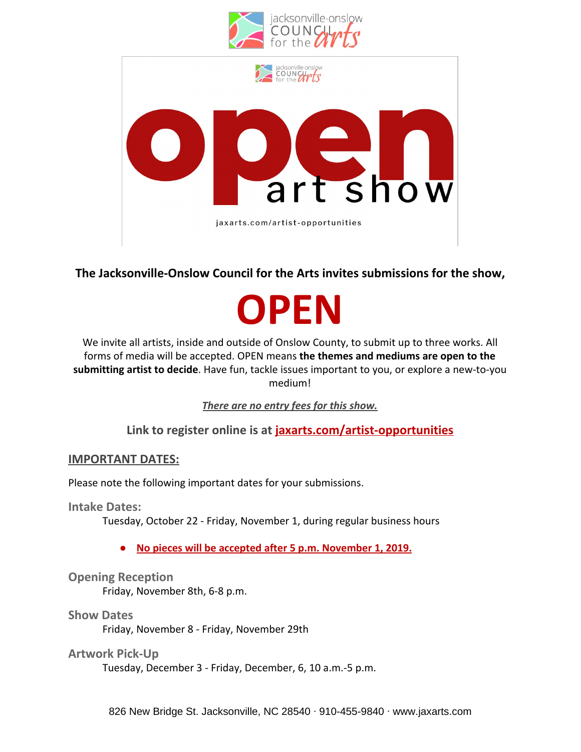

**The Jacksonville-Onslow Council for the Arts invites submissions for the show,**

# **OPEN**

We invite all artists, inside and outside of Onslow County, to submit up to three works. All forms of media will be accepted. OPEN means **the themes and mediums are open to the submitting artist to decide**. Have fun, tackle issues important to you, or explore a new-to-you medium!

*There are no entry fees for this show.*

**Link to register online is at jaxarts.com/artist-opportunities**

# **IMPORTANT DATES:**

Please note the following important dates for your submissions.

**Intake Dates:**

Tuesday, October 22 - Friday, November 1, during regular business hours

**● No pieces will be accepted after 5 p.m. November 1, 2019.**

# **Opening Reception**

Friday, November 8th, 6-8 p.m.

### **Show Dates**

Friday, November 8 - Friday, November 29th

# **Artwork Pick-Up**

Tuesday, December 3 - Friday, December, 6, 10 a.m.-5 p.m.